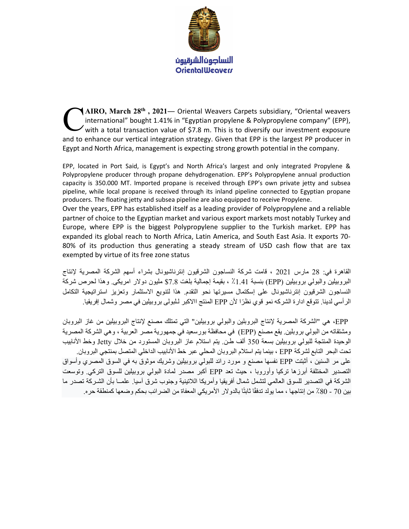

 $\blacktriangleleft$  AIRO, March 28<sup>th</sup>, 2021— Oriental Weavers Carpets subsidiary, "Oriental weavers international" bought 1.41% in "Egyptian propylene & Polypropylene company" (EPP),  $\prime$  with a total transaction value of \$7.8 m. This is to diversify our investment exposure and to enhance our vertical integration strategy. Given that EPP is the largest PP producer in Egypt and North Africa, management is expecting strong growth potential in the company. C

EPP, located in Port Said, is Egypt's and North Africa's largest and only integrated Propylene & Polypropylene producer through propane dehydrogenation. EPP's Polypropylene annual production capacity is 350.000 MT. Imported propane is received through EPP's own private jetty and subsea pipeline, while local propane is received through its inland pipeline connected to Egyptian propane producers. The floating jetty and subsea pipeline are also equipped to receive Propylene.

Over the years, EPP has established itself as a leading provider of Polypropylene and a reliable partner of choice to the Egyptian market and various export markets most notably Turkey and Europe, where EPP is the biggest Polypropylene supplier to the Turkish market. EPP has expanded its global reach to North Africa, Latin America, and South East Asia. It exports 70- 80% of its production thus generating a steady stream of USD cash flow that are tax exempted by virtue of its free zone status

القاهرة في: 28 مارس 2021 ، قامت شركة النساجون الشرقيون إنترناشيونال بشراء أسهم الشركة المصرية لإنتاج البروبيلين والبولي بروبيلين (EPP (بنسبة ٪1.41 ، بقيمة إجمالية بلغت \$7.8 مليون دولار امريكى. وهذا لحرص شركة النساجون الشرقيون إنترناشيونال على إسكتمال مسيرتها نحو التقدم. هذا لتنويع الاستثمار وتعزيز استراتيجية التكامل الرأسي لدينا. تتوقع ادارة الشركه نمو قوي نظ ًرا لأن EPP المنتج االاكبر لـلبولى بروبيلين في مصر وشمال إفريقيا.

 EPP، هي "الشركة المصرية لإنتاج البروبلين والبولي بروبيلين" التي تمتلك مصنع لإنتاج البروبيلين من غاز البروبان ومشتقاته من البولي بروبلين. يقع مصنع (EPP (في محافظة بورسعيد في جمهورية مصر العربية ، وهي الشركة المصرية الوحيدة المنتجة للبولي بروبيلين بسعة 350 ألف طـن. يتم استلام عاز البروبان المستورد من خلال Jetty وخط الأنابيب تحت البحر التابع لشركة EPP ، بينما يتم استلام البروبان المحلي عبر خط الأنابيب الداخلي المتصل بمنتجي البروبان. على مر السنين ، أثبتت EPP نفسها مصنع و مورد رائد للبولي بروبيلين وشريك موثوق به في السوق المصري وأسواق التصدير المختلفة أبرزها تركيا وأوروبا ، حيث تعد EPP أكبر مصدر لمادة البولي بروبيلين للسوق التركي. وتوسعت الشركة في التصدير للسوق العالمي لتشمل شمال أفريقيا وأمريكا اللاتينية وجنوب شرق آسيا. علمــا بأن الشـركة تصدر ما بين 70 - 80٪ من إنتاجها ، مما يولد تدفقًا ثابتًا بالدولار الأمريكي المعفاة من الضرائب بحكم وضعها كمنطقة حره.